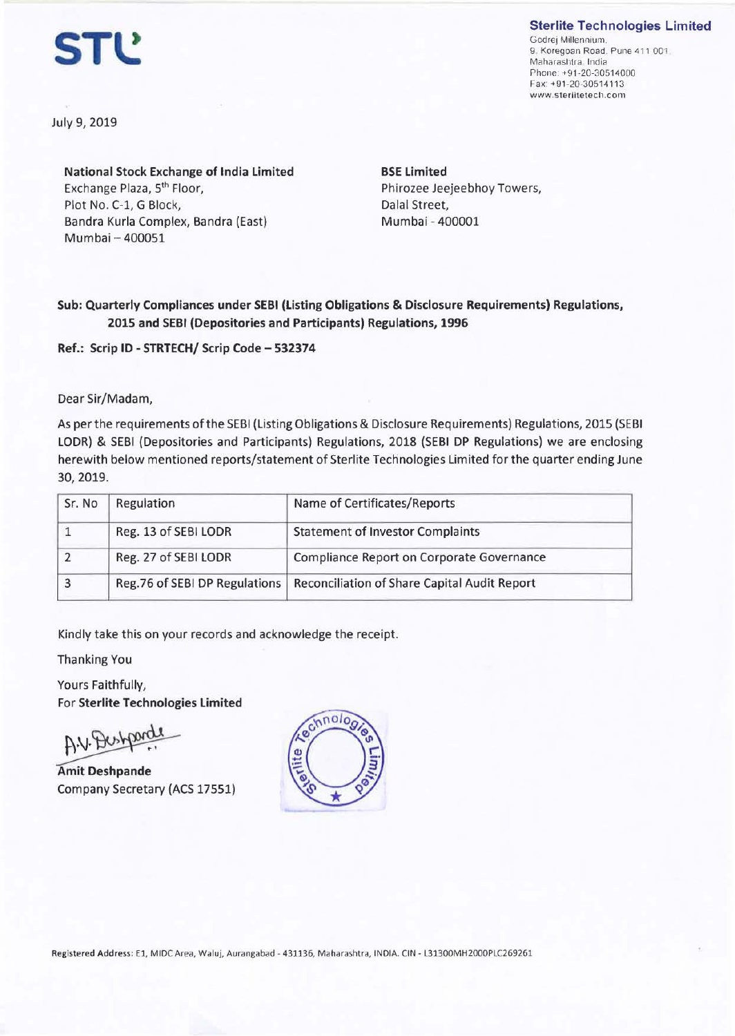## **Sterlite Technologies Limited**

**STl!** 

Godrej Millennium. 9. Koregoan Road. Pune 411 001. Maharashtra India Phone: +91-20-30514000 Fax: +9 1-20-3051411 3 www.sterlitetech.com

July 9, 2019

**National Stock Exchange of India Limited**  Exchange Plaza, 5th Floor, Plot No. C-1, G Block, Bandra Kurla Complex, Bandra (East) Mumbai - 400051

**BSE Limited**  Phirozee Jeejeebhoy Towers, Dalal Street, Mumbai - 400001

**Sub: Quarterly Compliances under SEBI (Listing Obligations** & **Disclosure Requirements) Regulations, 2015 and SEBI (Depositories and Participants) Regulations, 1996** 

**Ref.: Scrip** ID - **STRTECH/ Scrip Code** - **532374** 

Dear Sir/Madam,

As per the requirements of the SEBI (Listing Obligations & Disclosure Requirements) Regulations, 2015 (SEBI LODR) & SEBI (Depositories and Participants) Regulations, 2018 (SEBI DP Regulations) we are enclosing herewith below mentioned reports/statement of Sterlite Technologies Limited for the quarter ending June 30, 2019.

| Sr. No | Regulation                    | Name of Certificates/Reports                 |
|--------|-------------------------------|----------------------------------------------|
|        | Reg. 13 of SEBI LODR          | <b>Statement of Investor Complaints</b>      |
|        | Reg. 27 of SEBI LODR          | Compliance Report on Corporate Governance    |
| 3      | Reg.76 of SEBI DP Regulations | Reconciliation of Share Capital Audit Report |

Kindly **take** this on your records and acknowledge the receipt.

Thanking You

Yours Faithfully, For **Sterlite Technologies Limited**  Yours Faithfully,<br>For Sterlite Technologies Limited<br>Amit Deshpande<br>Company Secretary (ACS 17551)

Company Secretary (ACS 17551)

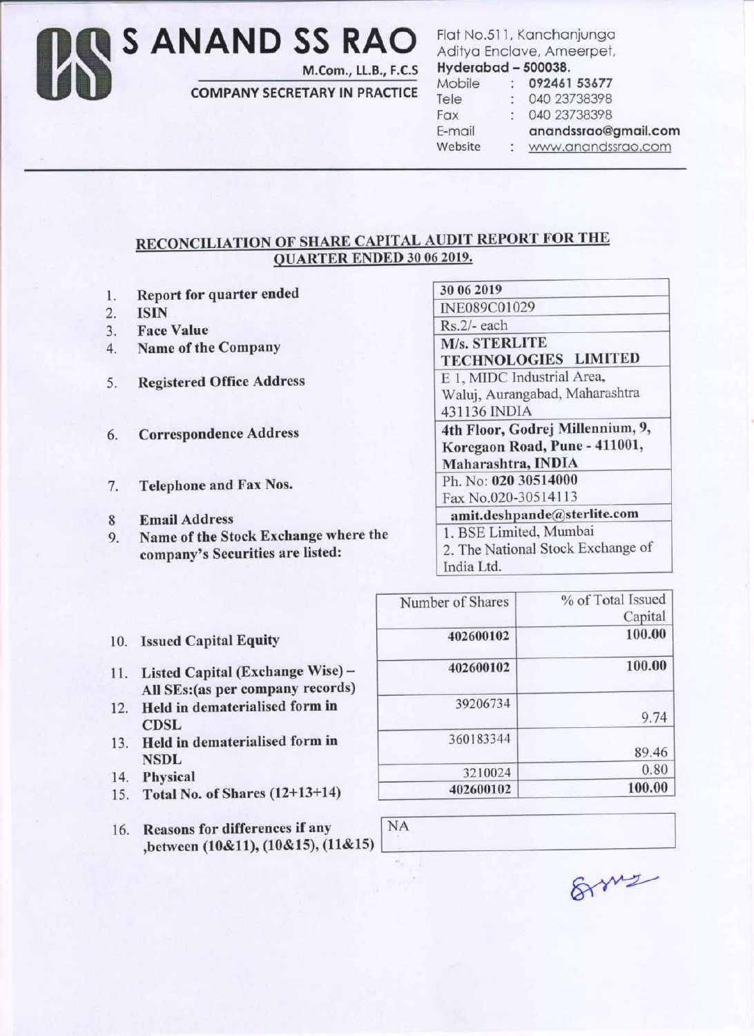Us **S ANAND SS RAO**  M.Com., LL.B., F.C.S

COMPANY SECRETARY IN PRACTICE

Flat No.511, Kanchanjunga Aditya Enclave, Ameerpet, Hyderabad - 500038.

Mobile 092461 53677 Tele : 040 23738398 Fax 040 23738398 E-mail Website

ana:ndssrao@gmail.com

www.anandssrao.com

## RECONCILIATION OF SHARE CAPITAL AUDIT REPORT FOR THE OU ARTER ENDED 30 06 2019.

- 1. Report for quarter ended
- 2. ISIN
- 3. Face Value
- 4. Name of the Company
- 5. Registered Office Address
- 6. Correspondence Address
- 7. Telephone and Fax Nos.
- 8 Email Address
- 9. Name of the Stock Exchange where the company's Securities are listed:

30 06 2019 INE089C01029 Rs.2/- each M/s. STERLITE TECHNOLOGIES LIMITED

E 1, MIDC Industrial Area, Waluj, Aurangabad, Maharashtra 431136 INDIA

4th Floor, Godrej Millennium, 9, Koregaon Road, Pune - 411001, Maharashtra, INDIA

Ph. No: 020 30514000 Fax No.020-30514113

amit.dcshpande@sterlite.com 1. BSE Limited, Mumbai 2. The National Stock Exchange of

|  | India Ltd. |
|--|------------|
|  |            |

| 10. |  | <b>Issued Capital Equity</b> |  |
|-----|--|------------------------------|--|
|-----|--|------------------------------|--|

- 11. Listed Capital (Exchange Wise) -All SEs:(as per company records)
- 12. Held in dematerialised form in **CDSL**
- 13. Held in dematerialised form in NSDL
- 14. Physical
- 15. Total No. of Shares (12+13+14)
- 16. Reasons for differences if any INA  $,$  between (10&11), (10&15), (11&15)

| Number of Shares | % of Total Issued<br>Capital |
|------------------|------------------------------|
| 402600102        | 100.00                       |
| 402600102        | 100.00                       |
| 39206734         | 9.74                         |
| 360183344        | 89.46                        |
| 3210024          | 0.80                         |
| 402600102        | 100.00                       |

8ms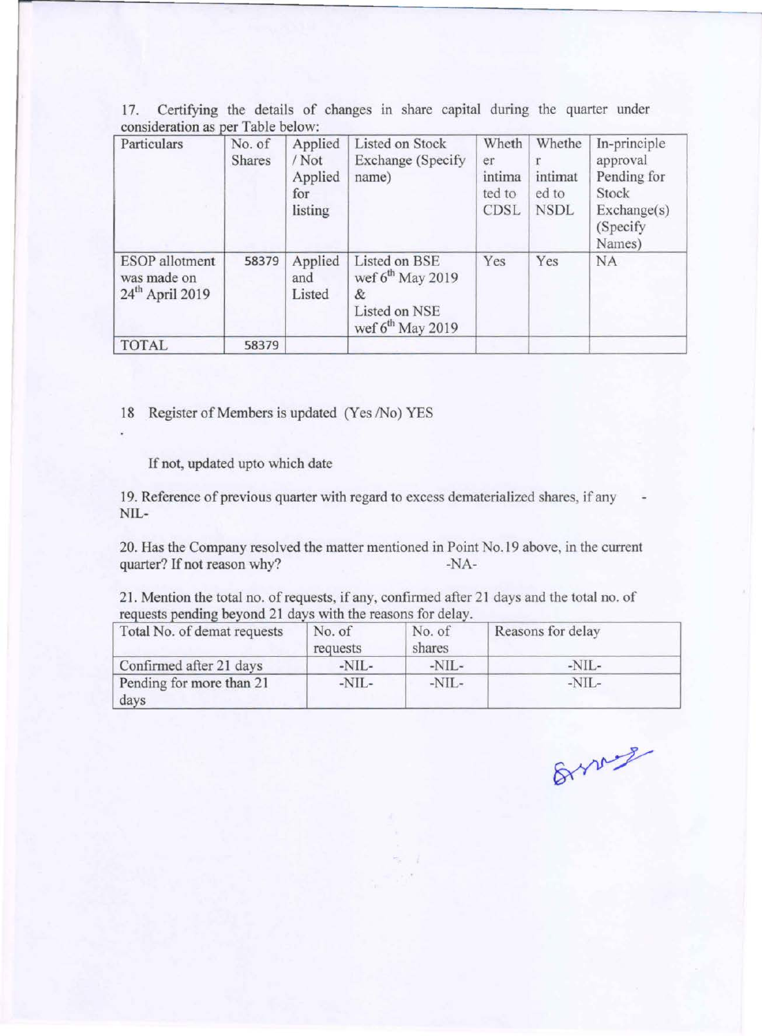| Particulars                                               | No. of<br><b>Shares</b> | Applied<br>/Not<br>Applied<br>for<br>listing | Listed on Stock<br><b>Exchange</b> (Specify<br>name)                                  | Wheth<br>er<br>intima<br>ted to<br>CDSL | Whethe<br>intimat<br>ed to<br><b>NSDL</b> | In-principle<br>approval<br>Pending for<br>Stock<br>Exchange(s)<br>(Specify)<br>Names) |
|-----------------------------------------------------------|-------------------------|----------------------------------------------|---------------------------------------------------------------------------------------|-----------------------------------------|-------------------------------------------|----------------------------------------------------------------------------------------|
| <b>ESOP</b> allotment<br>was made on<br>$24th$ April 2019 | 58379                   | Applied<br>and<br>Listed                     | Listed on BSE<br>wef $6^{th}$ May 2019<br>&<br>Listed on NSE<br>wef $6^{th}$ May 2019 | Yes                                     | Yes                                       | <b>NA</b>                                                                              |
| <b>TOTAL</b>                                              | 58379                   |                                              |                                                                                       |                                         |                                           |                                                                                        |

17. Certifying the details of changes in share capital during the quarter under  $\cos$ ideration as per Table below:

18 Register of Members is updated (Yes /No) YES

If not, updated upto which date

19. Reference of previous quarter with regard to excess dematerialized shares, if any NIL-

20. Has the Company resolved the matter mentioned in Point No.19 above, in the current quarter? If not reason why? -NA-

21. Mention the total no. of requests, if any, confirmed after 21 days and the total no. of requests pending beyond 21 days with the reasons for delay.

| Total No. of demat requests      | No. of<br>requests | No. of<br>shares | Reasons for delay |  |
|----------------------------------|--------------------|------------------|-------------------|--|
| Confirmed after 21 days          | $-NIL-$            | $-NIL-$          | $-NIL-$           |  |
| Pending for more than 21<br>days | $-NIL-$            | $-NIL-$          | $-NIL-$           |  |

Branch